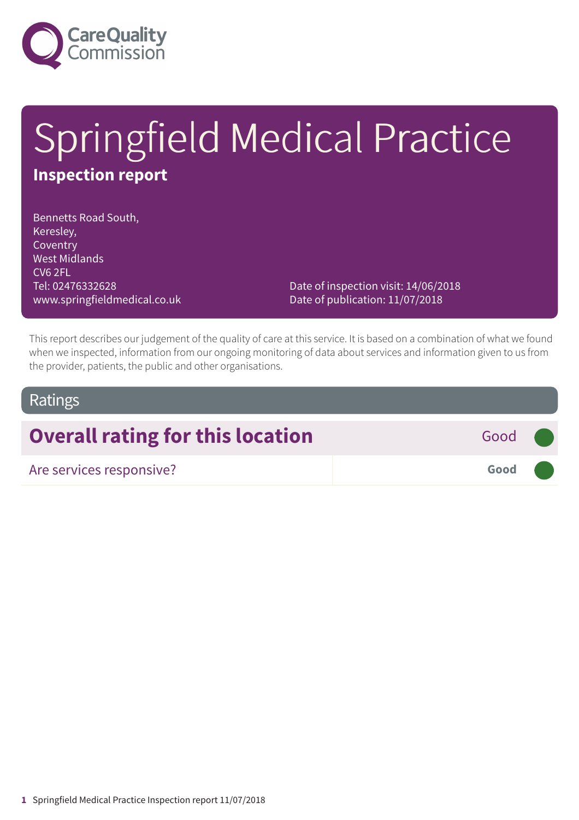

# Springfield Medical Practice **Inspection report**

Bennetts Road South, Keresley, Coventry West Midlands CV6 2FL Tel: 02476332628 www.springfieldmedical.co.uk

Date of inspection visit: 14/06/2018 Date of publication: 11/07/2018

This report describes our judgement of the quality of care at this service. It is based on a combination of what we found when we inspected, information from our ongoing monitoring of data about services and information given to us from the provider, patients, the public and other organisations.

### Ratings

## **Overall rating for this location** Good

| Are services responsive? | Good |  |
|--------------------------|------|--|
|                          |      |  |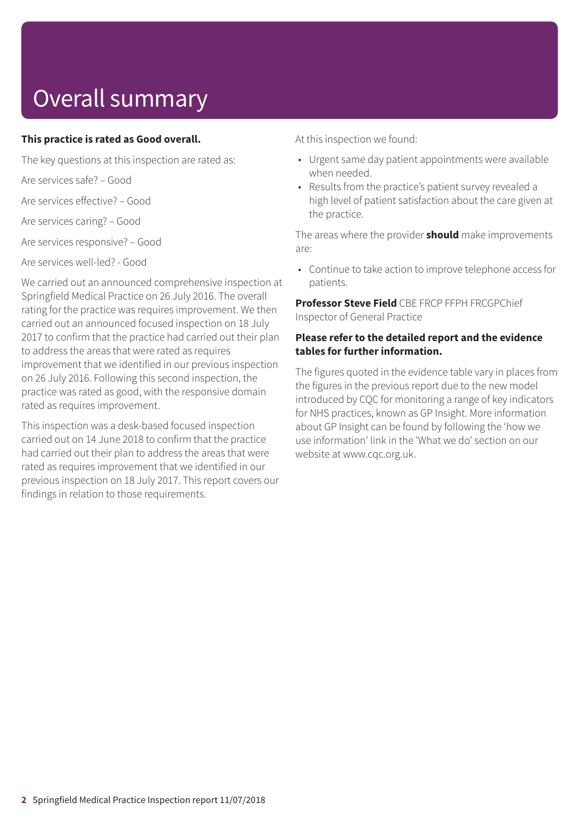## Overall summary

#### **This practice is rated as Good overall.**

The key questions at this inspection are rated as:

Are services safe? – Good

Are services effective? – Good

Are services caring? – Good

Are services responsive? – Good

Are services well-led? - Good

We carried out an announced comprehensive inspection at Springfield Medical Practice on 26 July 2016. The overall rating for the practice was requires improvement. We then carried out an announced focused inspection on 18 July 2017 to confirm that the practice had carried out their plan to address the areas that were rated as requires improvement that we identified in our previous inspection on 26 July 2016. Following this second inspection, the practice was rated as good, with the responsive domain rated as requires improvement.

This inspection was a desk-based focused inspection carried out on 14 June 2018 to confirm that the practice had carried out their plan to address the areas that were rated as requires improvement that we identified in our previous inspection on 18 July 2017. This report covers our findings in relation to those requirements.

At this inspection we found:

- Urgent same day patient appointments were available when needed.
- Results from the practice's patient survey revealed a high level of patient satisfaction about the care given at the practice.

The areas where the provider **should** make improvements are:

• Continue to take action to improve telephone access for patients.

**Professor Steve Field** CBE FRCP FFPH FRCGPChief Inspector of General Practice

### **Please refer to the detailed report and the evidence tables for further information.**

The figures quoted in the evidence table vary in places from the figures in the previous report due to the new model introduced by CQC for monitoring a range of key indicators for NHS practices, known as GP Insight. More information about GP Insight can be found by following the 'how we use information' link in the 'What we do' section on our website at www.cqc.org.uk.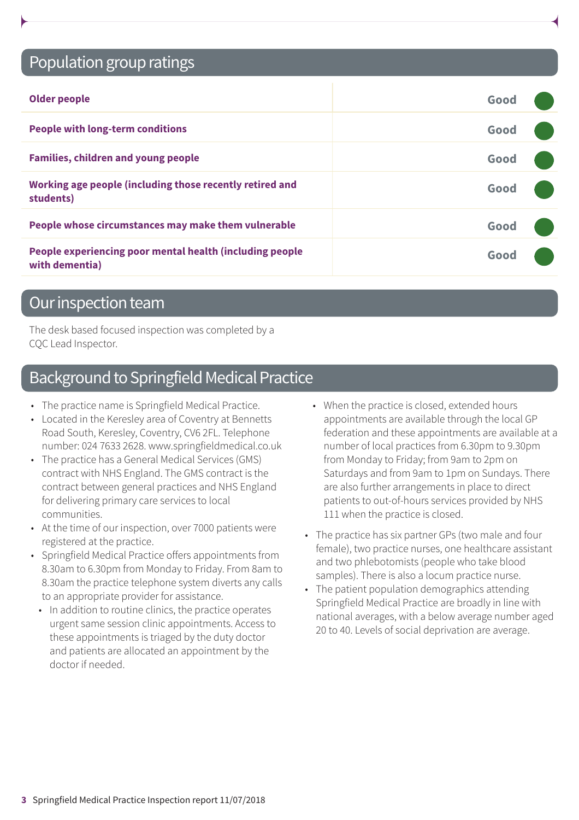## Population group ratings

| <b>Older people</b>                                                        | Good |  |
|----------------------------------------------------------------------------|------|--|
| <b>People with long-term conditions</b>                                    | Good |  |
| <b>Families, children and young people</b>                                 | Good |  |
| Working age people (including those recently retired and<br>students)      | Good |  |
| People whose circumstances may make them vulnerable                        | Good |  |
| People experiencing poor mental health (including people<br>with dementia) | Good |  |

### Our inspection team

The desk based focused inspection was completed by a CQC Lead Inspector.

## Background to Springfield Medical Practice

- The practice name is Springfield Medical Practice.
- Located in the Keresley area of Coventry at Bennetts Road South, Keresley, Coventry, CV6 2FL. Telephone number: 024 7633 2628. www.springfieldmedical.co.uk
- The practice has a General Medical Services (GMS) contract with NHS England. The GMS contract is the contract between general practices and NHS England for delivering primary care services to local communities.
- At the time of our inspection, over 7000 patients were registered at the practice.
- Springfield Medical Practice offers appointments from 8.30am to 6.30pm from Monday to Friday. From 8am to 8.30am the practice telephone system diverts any calls to an appropriate provider for assistance.
- In addition to routine clinics, the practice operates urgent same session clinic appointments. Access to these appointments is triaged by the duty doctor and patients are allocated an appointment by the doctor if needed.
- When the practice is closed, extended hours appointments are available through the local GP federation and these appointments are available at a number of local practices from 6.30pm to 9.30pm from Monday to Friday; from 9am to 2pm on Saturdays and from 9am to 1pm on Sundays. There are also further arrangements in place to direct patients to out-of-hours services provided by NHS 111 when the practice is closed.
- The practice has six partner GPs (two male and four female), two practice nurses, one healthcare assistant and two phlebotomists (people who take blood samples). There is also a locum practice nurse.
- The patient population demographics attending Springfield Medical Practice are broadly in line with national averages, with a below average number aged 20 to 40. Levels of social deprivation are average.